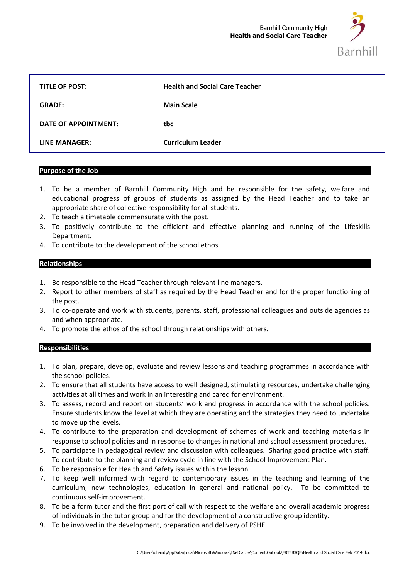

| <b>TITLE OF POST:</b> | <b>Health and Social Care Teacher</b> |
|-----------------------|---------------------------------------|
| <b>GRADE:</b>         | <b>Main Scale</b>                     |
| DATE OF APPOINTMENT:  | tbc                                   |
| LINE MANAGER:         | <b>Curriculum Leader</b>              |

### **Purpose of the Job**

- 1. To be a member of Barnhill Community High and be responsible for the safety, welfare and educational progress of groups of students as assigned by the Head Teacher and to take an appropriate share of collective responsibility for all students.
- 2. To teach a timetable commensurate with the post.
- 3. To positively contribute to the efficient and effective planning and running of the Lifeskills Department.
- 4. To contribute to the development of the school ethos.

# **Relationships**

- 1. Be responsible to the Head Teacher through relevant line managers.
- 2. Report to other members of staff as required by the Head Teacher and for the proper functioning of the post.
- 3. To co-operate and work with students, parents, staff, professional colleagues and outside agencies as and when appropriate.
- 4. To promote the ethos of the school through relationships with others.

## **Responsibilities**

- 1. To plan, prepare, develop, evaluate and review lessons and teaching programmes in accordance with the school policies.
- 2. To ensure that all students have access to well designed, stimulating resources, undertake challenging activities at all times and work in an interesting and cared for environment.
- 3. To assess, record and report on students' work and progress in accordance with the school policies. Ensure students know the level at which they are operating and the strategies they need to undertake to move up the levels.
- 4. To contribute to the preparation and development of schemes of work and teaching materials in response to school policies and in response to changes in national and school assessment procedures.
- 5. To participate in pedagogical review and discussion with colleagues. Sharing good practice with staff. To contribute to the planning and review cycle in line with the School Improvement Plan.
- 6. To be responsible for Health and Safety issues within the lesson.
- 7. To keep well informed with regard to contemporary issues in the teaching and learning of the curriculum, new technologies, education in general and national policy. To be committed to continuous self-improvement.
- 8. To be a form tutor and the first port of call with respect to the welfare and overall academic progress of individuals in the tutor group and for the development of a constructive group identity.
- 9. To be involved in the development, preparation and delivery of PSHE.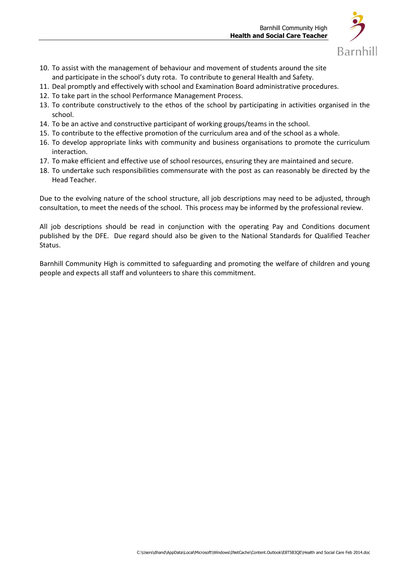

- 10. To assist with the management of behaviour and movement of students around the site and participate in the school's duty rota. To contribute to general Health and Safety.
- 11. Deal promptly and effectively with school and Examination Board administrative procedures.
- 12. To take part in the school Performance Management Process.
- 13. To contribute constructively to the ethos of the school by participating in activities organised in the school.
- 14. To be an active and constructive participant of working groups/teams in the school.
- 15. To contribute to the effective promotion of the curriculum area and of the school as a whole.
- 16. To develop appropriate links with community and business organisations to promote the curriculum interaction.
- 17. To make efficient and effective use of school resources, ensuring they are maintained and secure.
- 18. To undertake such responsibilities commensurate with the post as can reasonably be directed by the Head Teacher.

Due to the evolving nature of the school structure, all job descriptions may need to be adjusted, through consultation, to meet the needs of the school. This process may be informed by the professional review.

All job descriptions should be read in conjunction with the operating Pay and Conditions document published by the DFE. Due regard should also be given to the National Standards for Qualified Teacher Status.

Barnhill Community High is committed to safeguarding and promoting the welfare of children and young people and expects all staff and volunteers to share this commitment.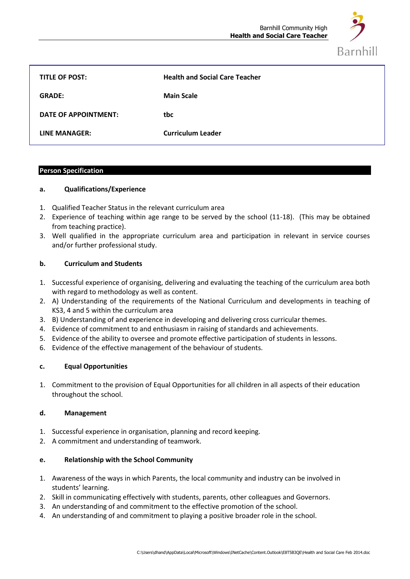

| <b>TITLE OF POST:</b> | <b>Health and Social Care Teacher</b> |
|-----------------------|---------------------------------------|
| <b>GRADE:</b>         | <b>Main Scale</b>                     |
| DATE OF APPOINTMENT:  | tbc                                   |
| LINE MANAGER:         | <b>Curriculum Leader</b>              |

## **Person Specification**

## **a. Qualifications/Experience**

- 1. Qualified Teacher Status in the relevant curriculum area
- 2. Experience of teaching within age range to be served by the school (11-18). (This may be obtained from teaching practice).
- 3. Well qualified in the appropriate curriculum area and participation in relevant in service courses and/or further professional study.

# **b. Curriculum and Students**

- 1. Successful experience of organising, delivering and evaluating the teaching of the curriculum area both with regard to methodology as well as content.
- 2. A) Understanding of the requirements of the National Curriculum and developments in teaching of KS3, 4 and 5 within the curriculum area
- 3. B) Understanding of and experience in developing and delivering cross curricular themes.
- 4. Evidence of commitment to and enthusiasm in raising of standards and achievements.
- 5. Evidence of the ability to oversee and promote effective participation of students in lessons.
- 6. Evidence of the effective management of the behaviour of students.

## **c. Equal Opportunities**

1. Commitment to the provision of Equal Opportunities for all children in all aspects of their education throughout the school.

## **d. Management**

- 1. Successful experience in organisation, planning and record keeping.
- 2. A commitment and understanding of teamwork.

## **e. Relationship with the School Community**

- 1. Awareness of the ways in which Parents, the local community and industry can be involved in students' learning.
- 2. Skill in communicating effectively with students, parents, other colleagues and Governors.
- 3. An understanding of and commitment to the effective promotion of the school.
- 4. An understanding of and commitment to playing a positive broader role in the school.